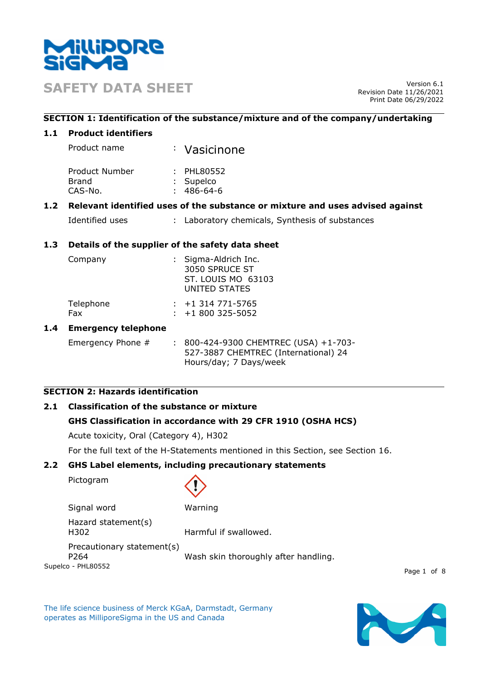

**SAFETY DATA SHEET** Version 6.1

Revision Date 11/26/2021 Print Date 06/29/2022

## **SECTION 1: Identification of the substance/mixture and of the company/undertaking**

### **1.1 Product identifiers**

| Product name   | : Vasicinone   |  |
|----------------|----------------|--|
| Product Number | $\pm$ PHL80552 |  |

| Brand   | : Supelco |
|---------|-----------|
| CAS-No. | 486-64-6  |

# **1.2 Relevant identified uses of the substance or mixture and uses advised against**

| Identified uses |  | : Laboratory chemicals, Synthesis of substances |  |
|-----------------|--|-------------------------------------------------|--|
|-----------------|--|-------------------------------------------------|--|

# **1.3 Details of the supplier of the safety data sheet**

| Company          | : Sigma-Aldrich Inc.<br>3050 SPRUCE ST<br>ST. LOUIS MO 63103<br>UNITED STATES |                                            |
|------------------|-------------------------------------------------------------------------------|--------------------------------------------|
| Telephone<br>Fax |                                                                               | $: +1314771 - 5765$<br>$: +1800325 - 5052$ |

### **1.4 Emergency telephone**

Emergency Phone # : 800-424-9300 CHEMTREC (USA) +1-703-527-3887 CHEMTREC (International) 24 Hours/day; 7 Days/week

# **SECTION 2: Hazards identification**

# **2.1 Classification of the substance or mixture**

# **GHS Classification in accordance with 29 CFR 1910 (OSHA HCS)**

Acute toxicity, Oral (Category 4), H302

For the full text of the H-Statements mentioned in this Section, see Section 16.

### **2.2 GHS Label elements, including precautionary statements**

Pictogram



Signal word Warning

Hazard statement(s) H302 Harmful if swallowed.

Precautionary statement(s)

Supelco - PHL80552 P264 Wash skin thoroughly after handling.

Page 1 of 8

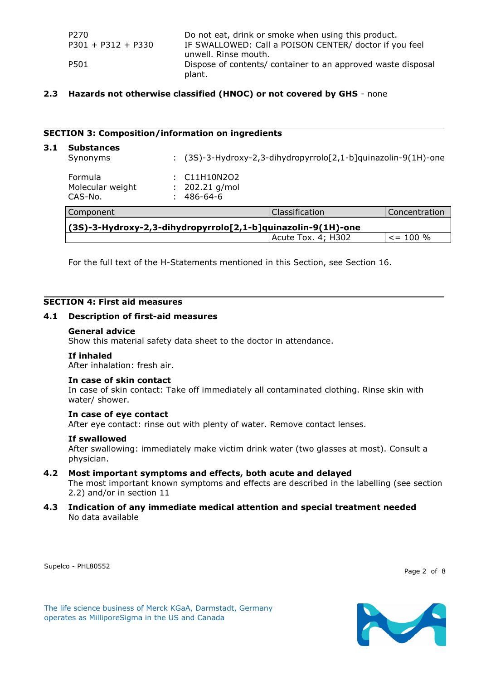| P270                 | Do not eat, drink or smoke when using this product.          |
|----------------------|--------------------------------------------------------------|
| $P301 + P312 + P330$ | IF SWALLOWED: Call a POISON CENTER/ doctor if you feel       |
|                      | unwell. Rinse mouth.                                         |
| P501                 | Dispose of contents/ container to an approved waste disposal |
|                      | plant.                                                       |

## **2.3 Hazards not otherwise classified (HNOC) or not covered by GHS** - none

#### **SECTION 3: Composition/information on ingredients**

| 3.1 | <b>Substances</b><br>Synonyms                                | ÷. |                                        | (3S)-3-Hydroxy-2,3-dihydropyrrolo[2,1-b]quinazolin-9(1H)-one |               |
|-----|--------------------------------------------------------------|----|----------------------------------------|--------------------------------------------------------------|---------------|
|     | <b>Formula</b><br>Molecular weight<br>CAS-No.                | ÷. | C11H10N2O2<br>202.21 g/mol<br>486-64-6 |                                                              |               |
|     | Component                                                    |    |                                        | Classification                                               | Concentration |
|     | (3S)-3-Hydroxy-2,3-dihydropyrrolo[2,1-b]quinazolin-9(1H)-one |    |                                        |                                                              |               |
|     |                                                              |    |                                        | Acute Tox. 4; H302                                           | $\le$ = 100 % |

For the full text of the H-Statements mentioned in this Section, see Section 16.

#### **SECTION 4: First aid measures**

#### **4.1 Description of first-aid measures**

#### **General advice**

Show this material safety data sheet to the doctor in attendance.

#### **If inhaled**

After inhalation: fresh air.

#### **In case of skin contact**

In case of skin contact: Take off immediately all contaminated clothing. Rinse skin with water/ shower.

#### **In case of eye contact**

After eye contact: rinse out with plenty of water. Remove contact lenses.

#### **If swallowed**

After swallowing: immediately make victim drink water (two glasses at most). Consult a physician.

#### **4.2 Most important symptoms and effects, both acute and delayed**

The most important known symptoms and effects are described in the labelling (see section 2.2) and/or in section 11

**4.3 Indication of any immediate medical attention and special treatment needed** No data available

Supelco - PHL80552

Page 2 of 8

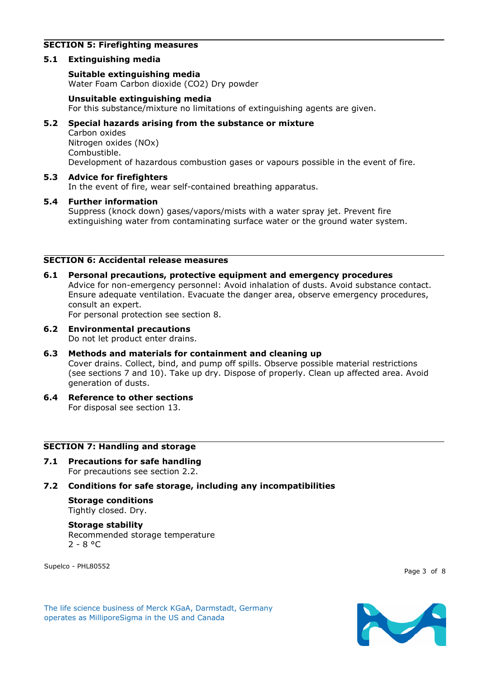# **SECTION 5: Firefighting measures**

## **5.1 Extinguishing media**

### **Suitable extinguishing media**

Water Foam Carbon dioxide (CO2) Dry powder

### **Unsuitable extinguishing media**

For this substance/mixture no limitations of extinguishing agents are given.

# **5.2 Special hazards arising from the substance or mixture**

Carbon oxides Nitrogen oxides (NOx) Combustible. Development of hazardous combustion gases or vapours possible in the event of fire.

# **5.3 Advice for firefighters**

In the event of fire, wear self-contained breathing apparatus.

### **5.4 Further information**

Suppress (knock down) gases/vapors/mists with a water spray jet. Prevent fire extinguishing water from contaminating surface water or the ground water system.

# **SECTION 6: Accidental release measures**

**6.1 Personal precautions, protective equipment and emergency procedures** Advice for non-emergency personnel: Avoid inhalation of dusts. Avoid substance contact. Ensure adequate ventilation. Evacuate the danger area, observe emergency procedures, consult an expert.

For personal protection see section 8.

# **6.2 Environmental precautions**

Do not let product enter drains.

### **6.3 Methods and materials for containment and cleaning up**

Cover drains. Collect, bind, and pump off spills. Observe possible material restrictions (see sections 7 and 10). Take up dry. Dispose of properly. Clean up affected area. Avoid generation of dusts.

**6.4 Reference to other sections** For disposal see section 13.

#### **SECTION 7: Handling and storage**

**7.1 Precautions for safe handling** For precautions see section 2.2.

### **7.2 Conditions for safe storage, including any incompatibilities**

#### **Storage conditions** Tightly closed. Dry.

#### **Storage stability**

Recommended storage temperature  $2 - 8 °C$ 

Supelco - PHL80552

Page 3 of 8

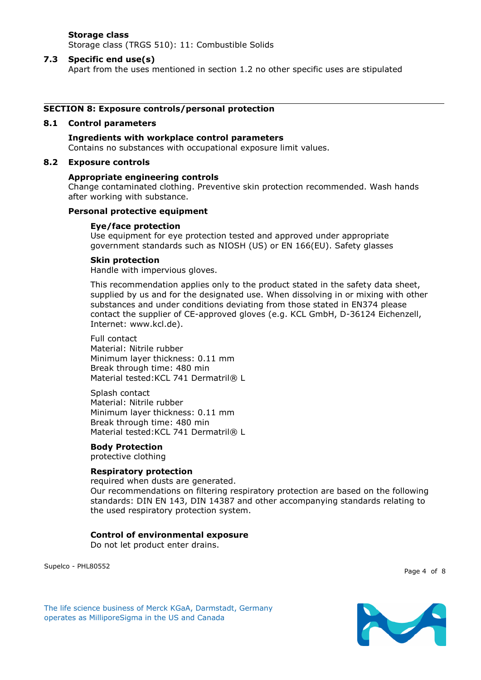# **Storage class**

Storage class (TRGS 510): 11: Combustible Solids

#### **7.3 Specific end use(s)**

Apart from the uses mentioned in section 1.2 no other specific uses are stipulated

#### **SECTION 8: Exposure controls/personal protection**

#### **8.1 Control parameters**

**Ingredients with workplace control parameters** Contains no substances with occupational exposure limit values.

#### **8.2 Exposure controls**

#### **Appropriate engineering controls**

Change contaminated clothing. Preventive skin protection recommended. Wash hands after working with substance.

#### **Personal protective equipment**

#### **Eye/face protection**

Use equipment for eye protection tested and approved under appropriate government standards such as NIOSH (US) or EN 166(EU). Safety glasses

#### **Skin protection**

Handle with impervious gloves.

This recommendation applies only to the product stated in the safety data sheet, supplied by us and for the designated use. When dissolving in or mixing with other substances and under conditions deviating from those stated in EN374 please contact the supplier of CE-approved gloves (e.g. KCL GmbH, D-36124 Eichenzell, Internet: www.kcl.de).

#### Full contact

Material: Nitrile rubber Minimum layer thickness: 0.11 mm Break through time: 480 min Material tested: KCL 741 Dermatril® L

Splash contact Material: Nitrile rubber Minimum layer thickness: 0.11 mm Break through time: 480 min Material tested: KCL 741 Dermatril® L

#### **Body Protection**

protective clothing

# **Respiratory protection**

required when dusts are generated. Our recommendations on filtering respiratory protection are based on the following standards: DIN EN 143, DIN 14387 and other accompanying standards relating to the used respiratory protection system.

#### **Control of environmental exposure**

Do not let product enter drains.

Supelco - PHL80552

Page 4 of 8

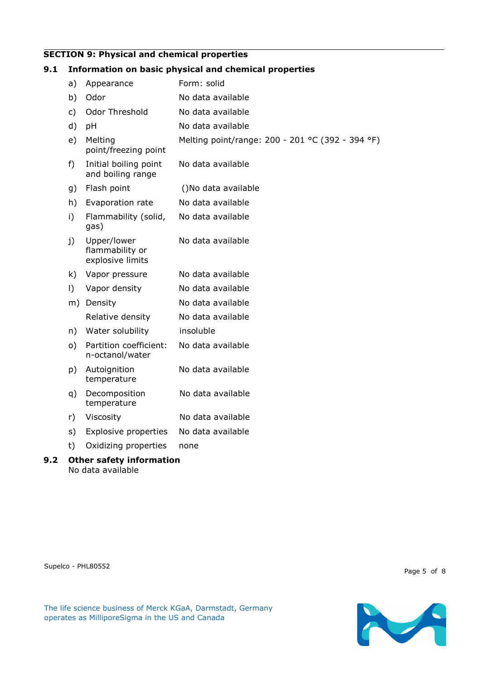### **SECTION 9: Physical and chemical properties**

# **9.1 Information on basic physical and chemical properties** a) Appearance Form: solid b) Odor No data available c) Odor Threshold No data available d) pH No data available e) Melting point/freezing point Melting point/range: 200 - 201 °C (392 - 394 °F) f) Initial boiling point and boiling range No data available g) Flash point ()No data available h) Evaporation rate No data available i) Flammability (solid, gas) No data available j) Upper/lower flammability or explosive limits No data available k) Vapor pressure No data available l) Vapor density No data available m) Density No data available Relative density Mo data available n) Water solubility insoluble o) Partition coefficient: n-octanol/water No data available p) Autoignition temperature No data available q) Decomposition temperature No data available r) Viscosity No data available s) Explosive properties No data available t) Oxidizing properties none

**9.2 Other safety information** No data available

Supelco - PHL80552

Page 5 of 8

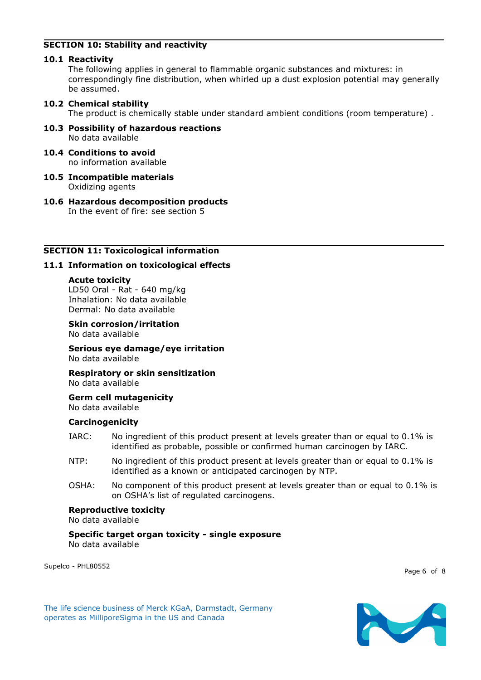# **SECTION 10: Stability and reactivity**

## **10.1 Reactivity**

The following applies in general to flammable organic substances and mixtures: in correspondingly fine distribution, when whirled up a dust explosion potential may generally be assumed.

# **10.2 Chemical stability**

The product is chemically stable under standard ambient conditions (room temperature) .

- **10.3 Possibility of hazardous reactions** No data available
- **10.4 Conditions to avoid** no information available
- **10.5 Incompatible materials** Oxidizing agents
- **10.6 Hazardous decomposition products** In the event of fire: see section 5

# **SECTION 11: Toxicological information**

# **11.1 Information on toxicological effects**

#### **Acute toxicity**

LD50 Oral - Rat - 640 mg/kg Inhalation: No data available Dermal: No data available

**Skin corrosion/irritation**

No data available

**Serious eye damage/eye irritation** No data available

**Respiratory or skin sensitization** No data available

**Germ cell mutagenicity** No data available

### **Carcinogenicity**

- IARC: No ingredient of this product present at levels greater than or equal to 0.1% is identified as probable, possible or confirmed human carcinogen by IARC.
- NTP: No ingredient of this product present at levels greater than or equal to 0.1% is identified as a known or anticipated carcinogen by NTP.
- OSHA: No component of this product present at levels greater than or equal to 0.1% is on OSHA's list of regulated carcinogens.

### **Reproductive toxicity**

No data available

#### **Specific target organ toxicity - single exposure** No data available

Supelco - PHL80552

Page 6 of 8

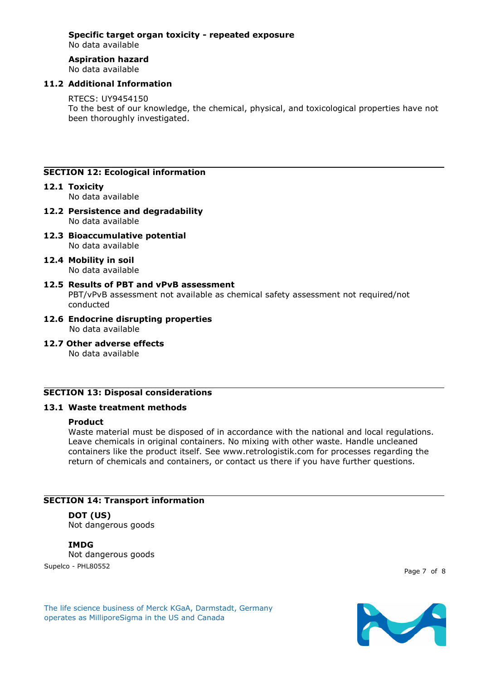# **Specific target organ toxicity - repeated exposure**

No data available

# **Aspiration hazard**

No data available

# **11.2 Additional Information**

### RTECS: UY9454150

To the best of our knowledge, the chemical, physical, and toxicological properties have not been thoroughly investigated.

# **SECTION 12: Ecological information**

# **12.1 Toxicity**

No data available

- **12.2 Persistence and degradability** No data available
- **12.3 Bioaccumulative potential** No data available
- **12.4 Mobility in soil** No data available
- **12.5 Results of PBT and vPvB assessment** PBT/vPvB assessment not available as chemical safety assessment not required/not conducted
- **12.6 Endocrine disrupting properties** No data available
- **12.7 Other adverse effects**

No data available

# **SECTION 13: Disposal considerations**

# **13.1 Waste treatment methods**

### **Product**

Waste material must be disposed of in accordance with the national and local regulations. Leave chemicals in original containers. No mixing with other waste. Handle uncleaned containers like the product itself. See www.retrologistik.com for processes regarding the return of chemicals and containers, or contact us there if you have further questions.

# **SECTION 14: Transport information**

# **DOT (US)**

Not dangerous goods

# **IMDG**

Supelco - PHL80552 Not dangerous goods

Page 7 of 8